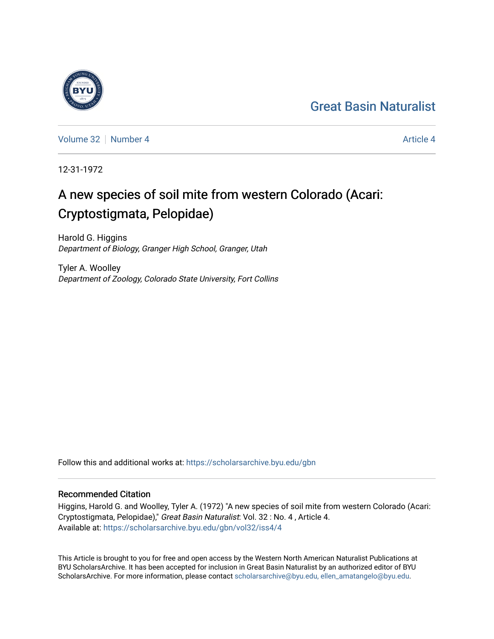## [Great Basin Naturalist](https://scholarsarchive.byu.edu/gbn)



[Volume 32](https://scholarsarchive.byu.edu/gbn/vol32) [Number 4](https://scholarsarchive.byu.edu/gbn/vol32/iss4) [Article 4](https://scholarsarchive.byu.edu/gbn/vol32/iss4/4) Article 4 Article 4 Article 4 Article 4 Article 4 Article 4

12-31-1972

# A new species of soil mite from western Colorado (Acari: Cryptostigmata, Pelopidae)

Harold G. Higgins Department of Biology, Granger High School, Granger, Utah

Tyler A. Woolley Department of Zoology, Colorado State University, Fort Collins

Follow this and additional works at: [https://scholarsarchive.byu.edu/gbn](https://scholarsarchive.byu.edu/gbn?utm_source=scholarsarchive.byu.edu%2Fgbn%2Fvol32%2Fiss4%2F4&utm_medium=PDF&utm_campaign=PDFCoverPages) 

### Recommended Citation

Higgins, Harold G. and Woolley, Tyler A. (1972) "A new species of soil mite from western Colorado (Acari: Cryptostigmata, Pelopidae)," Great Basin Naturalist: Vol. 32 : No. 4 , Article 4. Available at: [https://scholarsarchive.byu.edu/gbn/vol32/iss4/4](https://scholarsarchive.byu.edu/gbn/vol32/iss4/4?utm_source=scholarsarchive.byu.edu%2Fgbn%2Fvol32%2Fiss4%2F4&utm_medium=PDF&utm_campaign=PDFCoverPages)

This Article is brought to you for free and open access by the Western North American Naturalist Publications at BYU ScholarsArchive. It has been accepted for inclusion in Great Basin Naturalist by an authorized editor of BYU ScholarsArchive. For more information, please contact [scholarsarchive@byu.edu, ellen\\_amatangelo@byu.edu.](mailto:scholarsarchive@byu.edu,%20ellen_amatangelo@byu.edu)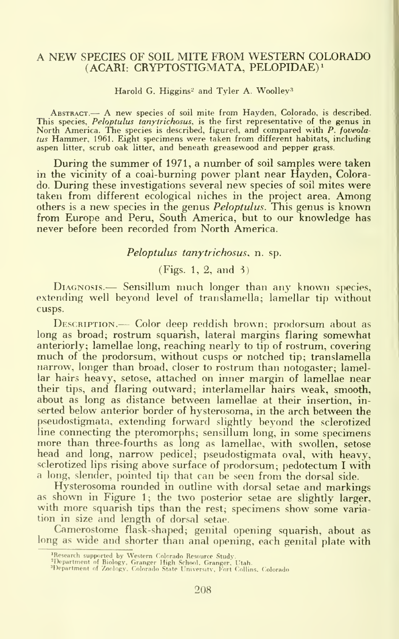#### A NEW SPECIES OF SOIL MITE FROM WESTERN COLORADO (ACARI: CRYPTOSTIGMATA, PELOPIDAE)i

Harold G. Higgins<sup>2</sup> and Tyler A. Woolley<sup>3</sup>

Abstract.— A new species of soil mite from Hayden, Colorado, is described. This species, Peloptulus tanytrichosus, is the first representative of the genus in North America. The species is described, figured, and compared with P. foveolatus Hammer, 1961. Eight specimens were taken from different habitats, including aspen litter, scrub oak litter, and beneath greasewood and pepper grass.

During the summer of 1971, <sup>a</sup> number of soil samples were taken in the vicinity of a coal-burning power plant near Hayden, Colorado. During these investigations several new species of soil mites were taken from different ecological niches in the project area. Among others is a new species in the genus Peloptulus. This genus is known from Europe and Peru, South America, but to our knowledge has never before been recorded from North America.

#### Peloptulus tanytrichosus, n. sp.

#### (Figs. 1, 2, and 3)

DIAGNOSIS.— Sensillum much longer than any known species, extending well beyond level of translamella; lamellar tip without cusps.

DESCRIPTION.-- Color deep reddish brown; prodorsum about as long as broad; rostrum squarish, lateral margins flaring somewhat anteriorly; lamellae long, reaching nearly to tip of rostrum, covering much of the prodorsum, without cusps or notched tip; translamella narrow, longer than broad, closer to rostrum than notogaster; lamellar hairs heavy, setose, attached on inner margin of lamellae near their tips, and flaring outward; interlamellar hairs weak, smooth, about as long as distance between lamellae at their insertion, in serted below anterior border of hysterosoma, in the arch between the pseudostigmata, extending forward slightly beyond the sclerotized line connecting the pteromorphs; sensillum long, in some specimens more than three-fourths as long as lamellae, with swollen, setose head and long, narrow pedicel; pseudostigmata oval, with heavy, sclerotized lips rising above surface of prodorsum; pedotectum <sup>I</sup> with a long, slender, pointed tip that can be seen from the dorsal side.

Hysterosoma rounded in outline with dorsal setae and markings as shown in Figure 1; the two posterior setae are slightly larger, with more squarish tips than the rest; specimens show some variation in size and length of dorsal setae.

Camerostome flask-shaped; genital opening squarish, about as long as wide and shorter than anal opening, each genital plate with

<sup>&#</sup>x27;Research supported by Western Colorado Resource Study.<br>'Department of Biology, Granger High School, Granger. Utah.<br>'Department of Zoology. Colorado State University, Fort Collins. Colorado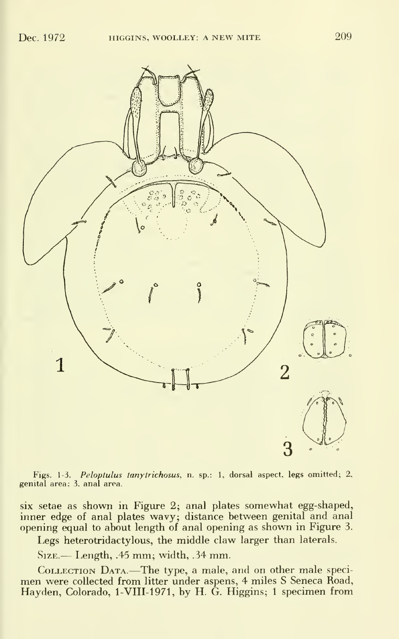

Figs. 1-3*. Peloptulus tanytrichosus*, n. sp.: 1, dorsal aspect, legs omitted; 2,  $\hspace{0.1mm}$ genital area; 3. anal area.

six setae as shown in Figure 2; anal plates somewhat egg-shaped,<br>inner edge of anal plates wavy; distance between genital and anal opening equal to about length of anal opening as shown in Figure 3.

Legs heterotridactylous, the middle claw larger than laterals.

Size. — Length, .45 mm; width, .34 mm.

Collection Data.—The type, <sup>a</sup> male, and on other male speci- men were collected from litter under aspens, <sup>4</sup> miles <sup>S</sup> Seneca Road, Hayden, Colorado, 1-VIII-1971, by H. G. Higgins; 1 specimen from